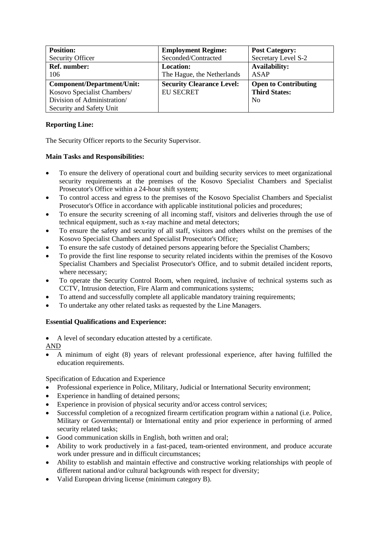| <b>Position:</b>            | <b>Employment Regime:</b>        | <b>Post Category:</b>       |
|-----------------------------|----------------------------------|-----------------------------|
| Security Officer            | Seconded/Contracted              | Secretary Level S-2         |
| <b>Ref. number:</b>         | <b>Location:</b>                 | <b>Availability:</b>        |
| 106                         | The Hague, the Netherlands       | ASAP                        |
| Component/Department/Unit:  | <b>Security Clearance Level:</b> | <b>Open to Contributing</b> |
| Kosovo Specialist Chambers/ | <b>EU SECRET</b>                 | <b>Third States:</b>        |
| Division of Administration/ |                                  | <b>No</b>                   |
| Security and Safety Unit    |                                  |                             |

## **Reporting Line:**

The Security Officer reports to the Security Supervisor.

## **Main Tasks and Responsibilities:**

- To ensure the delivery of operational court and building security services to meet organizational security requirements at the premises of the Kosovo Specialist Chambers and Specialist Prosecutor's Office within a 24-hour shift system;
- To control access and egress to the premises of the Kosovo Specialist Chambers and Specialist Prosecutor's Office in accordance with applicable institutional policies and procedures;
- To ensure the security screening of all incoming staff, visitors and deliveries through the use of technical equipment, such as x-ray machine and metal detectors;
- To ensure the safety and security of all staff, visitors and others whilst on the premises of the Kosovo Specialist Chambers and Specialist Prosecutor's Office;
- To ensure the safe custody of detained persons appearing before the Specialist Chambers;
- To provide the first line response to security related incidents within the premises of the Kosovo Specialist Chambers and Specialist Prosecutor's Office, and to submit detailed incident reports, where necessary;
- To operate the Security Control Room, when required, inclusive of technical systems such as CCTV, Intrusion detection, Fire Alarm and communications systems;
- To attend and successfully complete all applicable mandatory training requirements;
- To undertake any other related tasks as requested by the Line Managers.

## **Essential Qualifications and Experience:**

A level of secondary education attested by a certificate.

AND

 A minimum of eight (8) years of relevant professional experience, after having fulfilled the education requirements.

Specification of Education and Experience

- Professional experience in Police, Military, Judicial or International Security environment;
- Experience in handling of detained persons;
- Experience in provision of physical security and/or access control services;
- Successful completion of a recognized firearm certification program within a national (i.e. Police, Military or Governmental) or International entity and prior experience in performing of armed security related tasks;
- Good communication skills in English, both written and oral;
- Ability to work productively in a fast-paced, team-oriented environment, and produce accurate work under pressure and in difficult circumstances;
- Ability to establish and maintain effective and constructive working relationships with people of different national and/or cultural backgrounds with respect for diversity;
- Valid European driving license (minimum category B).